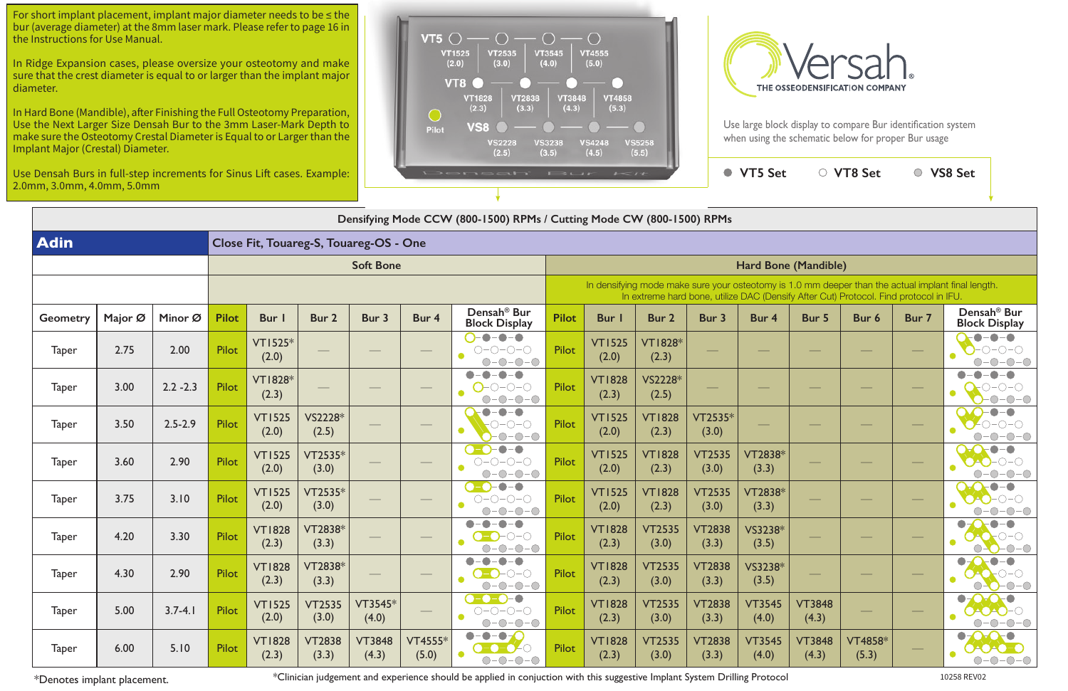| $1 - 11$                                                                                                                                                                                    |                         |                        | <b>VT5 Set</b>         |                        | <b>VT8 Set</b>   |       | <b>VS8 Set</b>                                  |  |  |  |  |  |  |
|---------------------------------------------------------------------------------------------------------------------------------------------------------------------------------------------|-------------------------|------------------------|------------------------|------------------------|------------------|-------|-------------------------------------------------|--|--|--|--|--|--|
|                                                                                                                                                                                             |                         |                        |                        |                        |                  |       |                                                 |  |  |  |  |  |  |
| Mode CW (800-1500) RPMs                                                                                                                                                                     |                         |                        |                        |                        |                  |       |                                                 |  |  |  |  |  |  |
|                                                                                                                                                                                             |                         |                        |                        |                        |                  |       |                                                 |  |  |  |  |  |  |
| Hard Bone (Mandible)                                                                                                                                                                        |                         |                        |                        |                        |                  |       |                                                 |  |  |  |  |  |  |
| In densifying mode make sure your osteotomy is 1.0 mm deeper than the actual implant final length.<br>In extreme hard bone, utilize DAC (Densify After Cut) Protocol. Find protocol in IFU. |                         |                        |                        |                        |                  |       |                                                 |  |  |  |  |  |  |
| Bur I                                                                                                                                                                                       | Bur 2                   | Bur 3                  | Bur 4                  | Bur 5                  | Bur 6            | Bur 7 | Densah <sup>®</sup> Bur<br><b>Block Display</b> |  |  |  |  |  |  |
| <b>VT1525</b><br>(2.0)                                                                                                                                                                      | <b>VT1828*</b><br>(2.3) |                        |                        |                        |                  |       |                                                 |  |  |  |  |  |  |
| <b>VT1828</b><br>(2.3)                                                                                                                                                                      | VS2228*<br>(2.5)        |                        |                        |                        |                  |       |                                                 |  |  |  |  |  |  |
| <b>VT1525</b><br>(2.0)                                                                                                                                                                      | <b>VT1828</b><br>(2.3)  | $VT2535*$<br>(3.0)     |                        |                        |                  |       |                                                 |  |  |  |  |  |  |
| <b>VT1525</b><br>(2.0)                                                                                                                                                                      | <b>VT1828</b><br>(2.3)  | <b>VT2535</b><br>(3.0) | VT2838*<br>(3.3)       |                        |                  |       |                                                 |  |  |  |  |  |  |
| <b>VT1525</b><br>(2.0)                                                                                                                                                                      | <b>VT1828</b><br>(2.3)  | <b>VT2535</b><br>(3.0) | VT2838*<br>(3.3)       |                        |                  |       |                                                 |  |  |  |  |  |  |
| <b>VT1828</b><br>(2.3)                                                                                                                                                                      | <b>VT2535</b><br>(3.0)  | <b>VT2838</b><br>(3.3) | VS3238*<br>(3.5)       |                        |                  |       |                                                 |  |  |  |  |  |  |
| <b>VT1828</b><br>(2.3)                                                                                                                                                                      | <b>VT2535</b><br>(3.0)  | <b>VT2838</b><br>(3.3) | VS3238*<br>(3.5)       |                        |                  |       |                                                 |  |  |  |  |  |  |
| <b>VT1828</b><br>(2.3)                                                                                                                                                                      | <b>VT2535</b><br>(3.0)  | <b>VT2838</b><br>(3.3) | <b>VT3545</b><br>(4.0) | <b>VT3848</b><br>(4.3) |                  |       |                                                 |  |  |  |  |  |  |
| <b>VT1828</b><br>(2.3)                                                                                                                                                                      | <b>VT2535</b><br>(3.0)  | <b>VT2838</b><br>(3.3) | <b>VT3545</b><br>(4.0) | <b>VT3848</b><br>(4.3) | VT4858*<br>(5.3) |       |                                                 |  |  |  |  |  |  |

| Densifying Mode CCW (800-1500) RPMs / Cutting Mode CW (800-1500) RPMs |                  |             |              |                         |                          |                        |                                                                                                                                                                                             |                                                                                                    |              |                        |                         |                        |                        |                        |                         |       |                                                 |
|-----------------------------------------------------------------------|------------------|-------------|--------------|-------------------------|--------------------------|------------------------|---------------------------------------------------------------------------------------------------------------------------------------------------------------------------------------------|----------------------------------------------------------------------------------------------------|--------------|------------------------|-------------------------|------------------------|------------------------|------------------------|-------------------------|-------|-------------------------------------------------|
| <b>Adin</b><br>Close Fit, Touareg-S, Touareg-OS - One                 |                  |             |              |                         |                          |                        |                                                                                                                                                                                             |                                                                                                    |              |                        |                         |                        |                        |                        |                         |       |                                                 |
|                                                                       | <b>Soft Bone</b> |             |              |                         |                          |                        | Hard Bone (Mandible)                                                                                                                                                                        |                                                                                                    |              |                        |                         |                        |                        |                        |                         |       |                                                 |
|                                                                       |                  |             |              |                         |                          |                        | In densifying mode make sure your osteotomy is 1.0 mm deeper than the actual implant final length.<br>In extreme hard bone, utilize DAC (Densify After Cut) Protocol. Find protocol in IFU. |                                                                                                    |              |                        |                         |                        |                        |                        |                         |       |                                                 |
| Geometry                                                              | Major Ø          | Minor Ø     | <b>Pilot</b> | <b>Bur</b>              | Bur 2                    | Bur 3                  | Bur 4                                                                                                                                                                                       | Densah <sup>®</sup> Bur<br><b>Block Display</b>                                                    | <b>Pilot</b> | Bur I                  | Bur 2                   | Bur 3                  | Bur 4                  | Bur 5                  | Bur 6                   | Bur 7 | Densah <sup>®</sup> Bur<br><b>Block Display</b> |
| <b>Taper</b>                                                          | 2.75             | 2.00        | Pilot        | <b>VT1525*</b><br>(2.0) | $\overline{\phantom{m}}$ |                        |                                                                                                                                                                                             | $-\bullet-\bullet$<br>$\bullet$<br>$O-O-O-O$<br>$-0-0-0$                                           | <b>Pilot</b> | <b>VT1525</b><br>(2.0) | <b>VT1828*</b><br>(2.3) |                        |                        |                        |                         |       | $\bullet$                                       |
| <b>Taper</b>                                                          | 3.00             | $2.2 - 2.3$ | Pilot        | <b>VT1828*</b><br>(2.3) |                          |                        |                                                                                                                                                                                             | $\bullet$<br>-0-0-0<br>$  \bigcirc$                                                                | <b>Pilot</b> | <b>VT1828</b><br>(2.3) | VS2228*<br>(2.5)        |                        |                        |                        |                         |       |                                                 |
| <b>Taper</b>                                                          | 3.50             | $2.5 - 2.9$ | Pilot        | <b>VT1525</b><br>(2.0)  | VS2228*<br>(2.5)         |                        |                                                                                                                                                                                             | $\bullet$<br>∩–∩–C<br>$-O$ - $O$<br>∩.                                                             | <b>Pilot</b> | <b>VT1525</b><br>(2.0) | <b>VT1828</b><br>(2.3)  | VT2535*<br>(3.0)       |                        |                        |                         |       |                                                 |
| <b>Taper</b>                                                          | 3.60             | 2.90        | Pilot        | <b>VT1525</b><br>(2.0)  | $VT2535*$<br>(3.0)       |                        |                                                                                                                                                                                             | $\bullet$<br>$-\bigcirc$<br>$-0-0-0$<br>$\bigcirc$                                                 | <b>Pilot</b> | <b>VT1525</b><br>(2.0) | <b>VT1828</b><br>(2.3)  | <b>VT2535</b><br>(3.0) | VT2838*<br>(3.3)       |                        |                         |       |                                                 |
| <b>Taper</b>                                                          | 3.75             | 3.10        | Pilot        | <b>VT1525</b><br>(2.0)  | VT2535*<br>(3.0)         |                        |                                                                                                                                                                                             | $\bullet$ – $\bullet$<br>$\bullet$ -O:<br>$O-O-O-O$                                                | <b>Pilot</b> | <b>VT1525</b><br>(2.0) | <b>VT1828</b><br>(2.3)  | <b>VT2535</b><br>(3.0) | VT2838*<br>(3.3)       |                        |                         |       | -0                                              |
| <b>Taper</b>                                                          | 4.20             | 3.30        | Pilot        | <b>VT1828</b><br>(2.3)  | VT2838*<br>(3.3)         |                        |                                                                                                                                                                                             | $\bullet$<br>$\bullet$<br>$-\bigcap -\bigcap$<br>$-O$ - $O$                                        | <b>Pilot</b> | <b>VT1828</b><br>(2.3) | <b>VT2535</b><br>(3.0)  | <b>VT2838</b><br>(3.3) | VS3238*<br>(3.5)       |                        |                         |       | $\bullet$                                       |
| <b>Taper</b>                                                          | 4.30             | 2.90        | Pilot        | <b>VT1828</b><br>(2.3)  | VT2838*<br>(3.3)         |                        |                                                                                                                                                                                             | $\bullet$<br>$O-O$                                                                                 | <b>Pilot</b> | <b>VT1828</b><br>(2.3) | <b>VT2535</b><br>(3.0)  | <b>VT2838</b><br>(3.3) | VS3238*<br>(3.5)       |                        |                         |       |                                                 |
| <b>Taper</b>                                                          | 5.00             | $3.7 - 4.1$ | <b>Pilot</b> | <b>VT1525</b><br>(2.0)  | <b>VT2535</b><br>(3.0)   | $VT3545*$<br>(4.0)     |                                                                                                                                                                                             | $O-O-O-O$<br>$O-O-O-O$<br>$O-O-O-O-$                                                               | <b>Pilot</b> | <b>VT1828</b><br>(2.3) | <b>VT2535</b><br>(3.0)  | <b>VT2838</b><br>(3.3) | <b>VT3545</b><br>(4.0) | <b>VT3848</b><br>(4.3) |                         |       | $O-O-O$<br>0-0-0-0<br>$-O$ -O-(                 |
| <b>Taper</b>                                                          | 6.00             | 5.10        | Pilot        | <b>VT1828</b><br>(2.3)  | <b>VT2838</b><br>(3.3)   | <b>VT3848</b><br>(4.3) | $VT4555*$<br>(5.0)                                                                                                                                                                          | $\bullet-\bullet-\bullet$<br>$\bigcirc - \bigcirc - \bigcirc - \bigcirc$<br>$\bullet$<br>$O-O-O-O$ | <b>Pilot</b> | <b>VT1828</b><br>(2.3) | <b>VT2535</b><br>(3.0)  | <b>VT2838</b><br>(3.3) | <b>VT3545</b><br>(4.0) | <b>VT3848</b><br>(4.3) | <b>VT4858*</b><br>(5.3) |       | 0-0-0-0<br>$O-O-O-$                             |

For short implant placement, implant major diameter needs to be  $\leq$  the bur (average diameter) at the 8mm laser mark. Please refer to page 16 in the Instructions for Use Manual.

\*Denotes implant placement. \*Clinician judgement and experience should be applied in conjuction with this suggestive Implant System Drilling Protocol 10258 REV02



Use large block display to compare Bur identification system when using the schematic below for proper Bur usage

In Ridge Expansion cases, please oversize your osteotomy and make sure that the crest diameter is equal to or larger than the implant major diameter.

In Hard Bone (Mandible), after Finishing the Full Osteotomy Preparation, Use the Next Larger Size Densah Bur to the 3mm Laser-Mark Depth to make sure the Osteotomy Crestal Diameter is Equal to or Larger than the Implant Major (Crestal) Diameter.

Use Densah Burs in full-step increments for Sinus Lift cases. Example: 2.0mm, 3.0mm, 4.0mm, 5.0mm